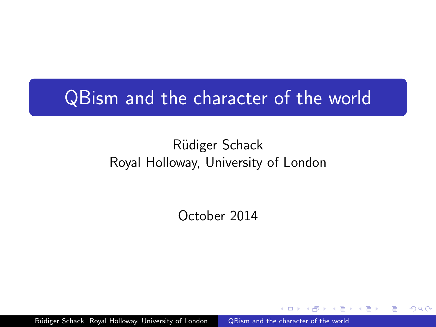# QBism and the character of the world

## Rüdiger Schack Royal Holloway, University of London

October 2014

<span id="page-0-0"></span>つくい

Rüdiger Schack Royal Holloway, University of London [QBism and the character of the world](#page-83-0)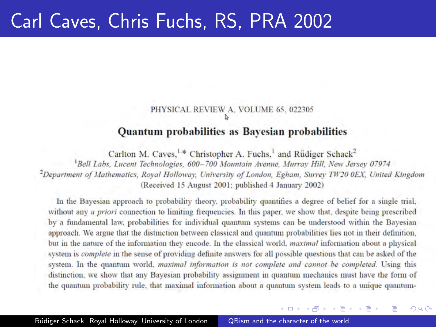## Carl Caves, Chris Fuchs, RS, PRA 2002

## PHYSICAL REVIEW A. VOLUME 65, 022305

#### **Ouantum probabilities as Bavesian probabilities**

Carlton M. Caves, <sup>1.\*</sup> Christopher A. Fuchs,<sup>1</sup> and Rüdiger Schack<sup>2</sup>

<sup>1</sup>Bell Labs, Lucent Technologies, 600-700 Mountain Avenue, Murray Hill, New Jersey 07974 <sup>2</sup>Department of Mathematics, Royal Holloway, University of London, Egham, Surrey TW20 0EX, United Kingdom (Received 15 August 2001; published 4 January 2002)

In the Bayesian approach to probability theory, probability quantifies a degree of belief for a single trial, without any *a priori* connection to limiting frequencies. In this paper, we show that, despite being prescribed by a fundamental law, probabilities for individual quantum systems can be understood within the Bayesian approach. We argue that the distinction between classical and quantum probabilities lies not in their definition. but in the nature of the information they encode. In the classical world, *maximal* information about a physical system is *complete* in the sense of providing definite answers for all possible questions that can be asked of the system. In the quantum world, maximal information is not complete and cannot be completed. Using this distinction, we show that any Bayesian probability assignment in quantum mechanics must have the form of the quantum probability rule, that maximal information about a quantum system leads to a unique quantum-

イロン イ部ン イ君ン イ君ン

つくい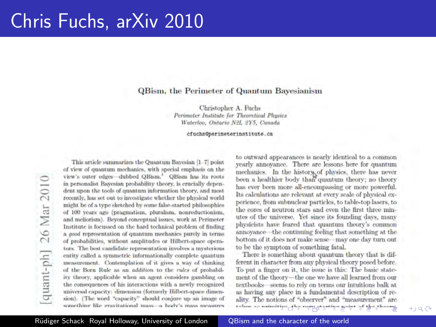## Chris Fuchs, arXiv 2010

#### **OBism, the Perimeter of Quantum Bayesianism**

Christopher A. Fuchs Perimeter Institute for Theoretical Physics Waterloo, Ontario N2L 2Y5, Canada

#### cfuchs@perimeterinstitute.ca

This article summarizes the Quantum Bayesian [1-7] point of view of quantum mechanics, with special emphasis on the view's outer edges-dubbed QBism.<sup>1</sup> QBism has its roots in personalist Bayesian probability theory, is crucially dependent upon the tools of quantum information theory, and most recently, has set out to investigate whether the physical world might be of a type sketched by some false-started philosophies of 100 years ago (pragmatism, pluralism, nonreductionism, and meliorism). Beyond conceptual issues, work at Perimeter Institute is focussed on the hard technical problem of finding a good representation of quantum mechanics purely in terms of probabilities, without amplitudes or Hilbert-space operators. The best candidate representation involves a mysterious entity called a symmetric informationally complete quantum measurement. Contemplation of it gives a way of thinking of the Born Rule as an *addition* to the *rules* of probability theory, applicable when an agent considers gambling on the consequences of his interactions with a newly recognized universal capacity: dimension (formerly Hilbert-space dimension). (The word "capacity" should conjure up an image of something like gravitational mass-a body's mass measures

to outward appearances is nearly identical to a common yearly annoyance. There are lessons here for quantum mechanics. In the history of physics, there has never been a healthier body than quantum theory; no theory has ever been more all-encompassing or more powerful. Its calculations are relevant at every scale of physical experience, from submiclear particles, to table-top lasers, to the cores of neutron stars and even the first three minutes of the universe. Yet since its founding days, many physicists have feared that quantum theory's common annoyance—the continuing feeling that something at the bottom of it does not make sense - may one day turn out to be the symptom of something fatal.

There is something about quantum theory that is different in character from any physical theory posed before. To put a finger on it, the issue is this: The basic statement of the theory-the one we have all learned from our textbooks-seems to rely on terms our intuitions balk at as having any place in a fundamental description of reality. The notions of "observer" and "measurement" are taken as coincitive, the margareties gaint of the theory.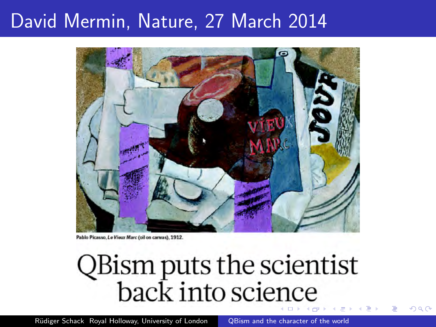## David Mermin, Nature, 27 March 2014



Pablo Picasso, Le Vieux Marc (oil on canvas), 1912.

# QBism puts the scientist<br>back into science

Rüdiger Schack Royal Holloway, University of London [QBism and the character of the world](#page-0-0)

つくい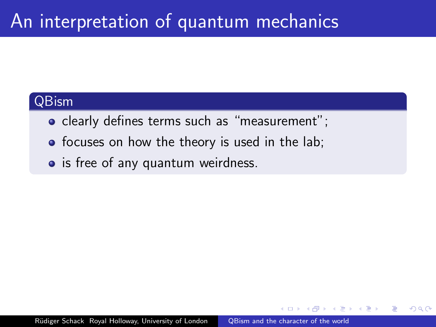# An interpretation of quantum mechanics

## QBism

- clearly defines terms such as "measurement";
- focuses on how the theory is used in the lab;
- is free of any quantum weirdness.

つくい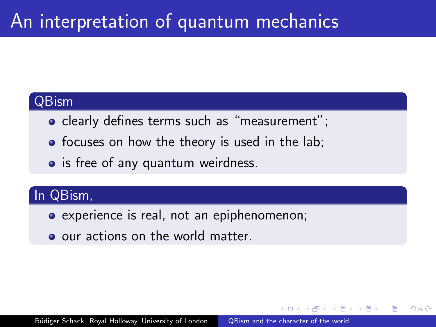# An interpretation of quantum mechanics

### QBism

- clearly defines terms such as "measurement";
- focuses on how the theory is used in the lab;
- is free of any quantum weirdness.

## In QBism,

- experience is real, not an epiphenomenon;
- o our actions on the world matter.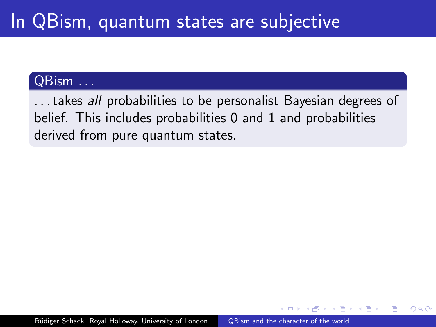#### QBism . . .

... takes all probabilities to be personalist Bayesian degrees of belief. This includes probabilities 0 and 1 and probabilities derived from pure quantum states.

 $\Omega$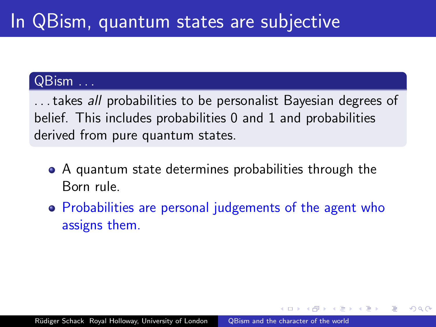## QBism . . .

... takes all probabilities to be personalist Bayesian degrees of belief. This includes probabilities 0 and 1 and probabilities derived from pure quantum states.

- A quantum state determines probabilities through the Born rule.
- Probabilities are personal judgements of the agent who assigns them.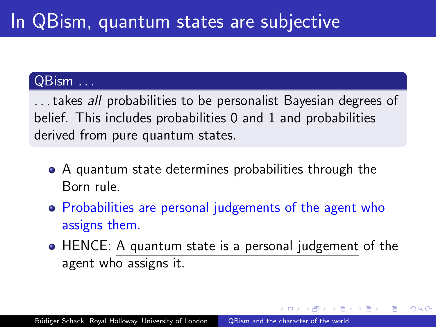## QBism . . .

... takes all probabilities to be personalist Bayesian degrees of belief. This includes probabilities 0 and 1 and probabilities derived from pure quantum states.

- A quantum state determines probabilities through the Born rule.
- Probabilities are personal judgements of the agent who assigns them.
- HENCE: A quantum state is a personal judgement of the agent who assigns it.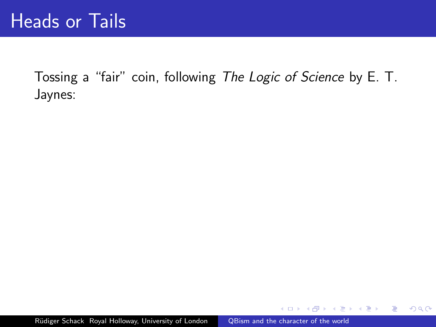$\sim$   $\sim$ 

 $2990$ 

э

化重复 化重变

 $\sim$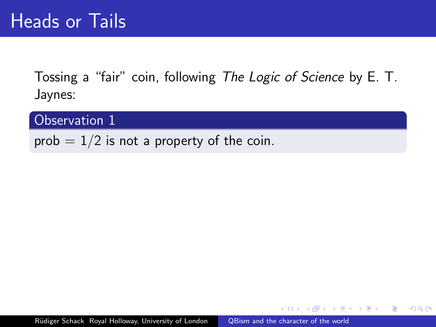Observation 1

prob  $= 1/2$  is not a property of the coin.

ミッ 一 4 三 下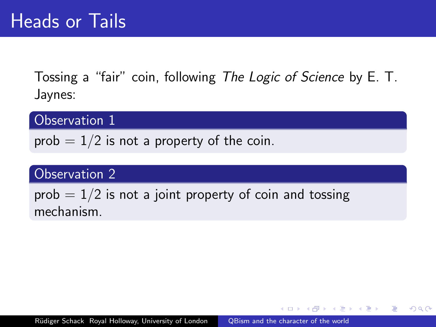Observation 1

prob  $= 1/2$  is not a property of the coin.

## Observation 2

prob  $= 1/2$  is not a joint property of coin and tossing mechanism.

- 4 重 8 34 重 8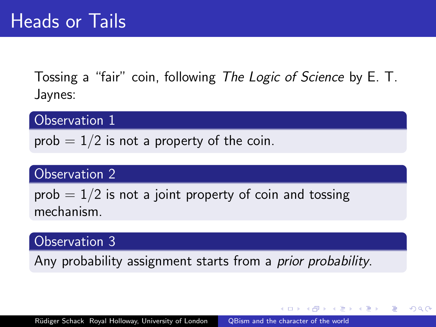Observation 1

prob  $= 1/2$  is not a property of the coin.

## Observation 2

prob  $= 1/2$  is not a joint property of coin and tossing mechanism.

#### Observation 3

Any probability assignment starts from a *prior probability*.

→ 伊 ▶ → ヨ ▶ → ヨ ▶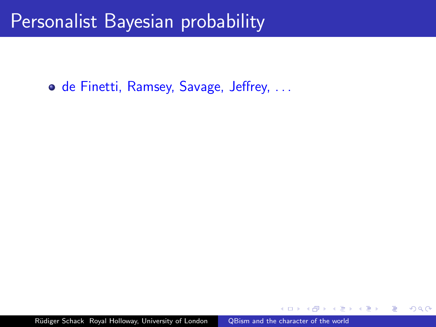o de Finetti, Ramsey, Savage, Jeffrey, ...

 $QQ$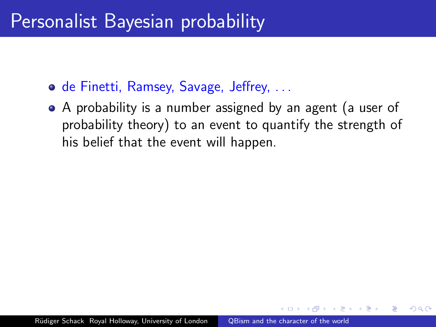- **o** de Finetti, Ramsey, Savage, Jeffrey, ...
- A probability is a number assigned by an agent (a user of probability theory) to an event to quantify the strength of his belief that the event will happen.

 $\Omega$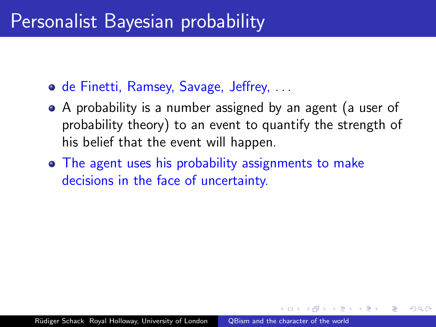- **o** de Finetti, Ramsey, Savage, Jeffrey, ...
- A probability is a number assigned by an agent (a user of probability theory) to an event to quantify the strength of his belief that the event will happen.
- The agent uses his probability assignments to make decisions in the face of uncertainty.

ഹൈ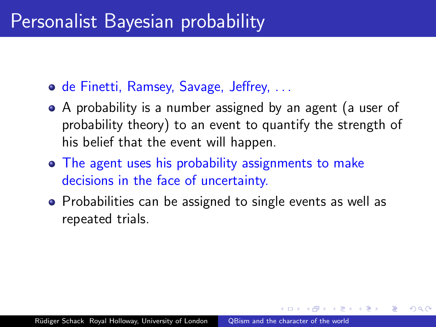- **o** de Finetti, Ramsey, Savage, Jeffrey, ...
- A probability is a number assigned by an agent (a user of probability theory) to an event to quantify the strength of his belief that the event will happen.
- The agent uses his probability assignments to make decisions in the face of uncertainty.
- Probabilities can be assigned to single events as well as repeated trials.

ഹൈ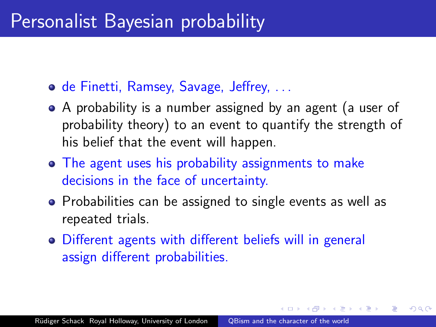- **o** de Finetti, Ramsey, Savage, Jeffrey, ...
- A probability is a number assigned by an agent (a user of probability theory) to an event to quantify the strength of his belief that the event will happen.
- The agent uses his probability assignments to make decisions in the face of uncertainty.
- Probabilities can be assigned to single events as well as repeated trials.

ഹൈ

Different agents with different beliefs will in general assign different probabilities.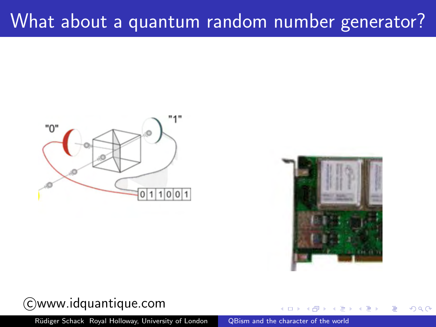# What about a quantum random number generator?





 $QQ$ 

## c www.idquantique.com

Rüdiger Schack Royal Holloway, University of London [QBism and the character of the world](#page-0-0)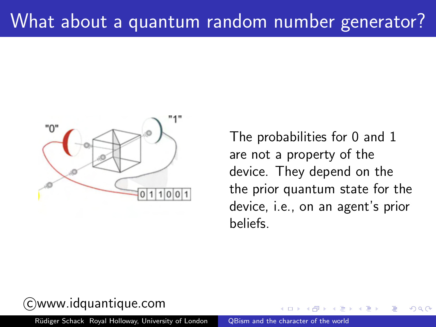

The probabilities for 0 and 1 are not a property of the device. They depend on the the prior quantum state for the device, i.e., on an agent's prior beliefs.

 $\Omega$ 

## c www.idquantique.com

Rüdiger Schack Royal Holloway, University of London [QBism and the character of the world](#page-0-0)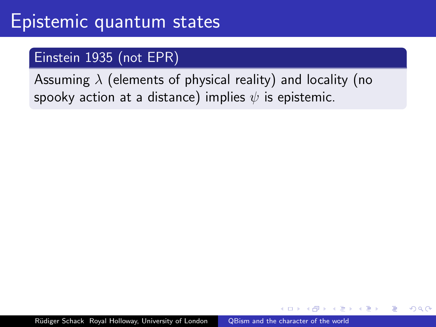## Epistemic quantum states

## Einstein 1935 (not EPR)

Assuming  $\lambda$  (elements of physical reality) and locality (no spooky action at a distance) implies  $\psi$  is epistemic.

化重子 化重子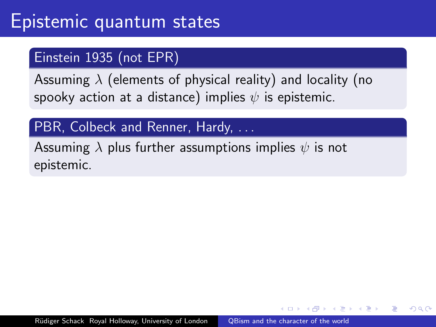## Einstein 1935 (not EPR)

Assuming  $\lambda$  (elements of physical reality) and locality (no spooky action at a distance) implies  $\psi$  is epistemic.

## PBR, Colbeck and Renner, Hardy, ...

Assuming  $\lambda$  plus further assumptions implies  $\psi$  is not epistemic.

医间周的 间医的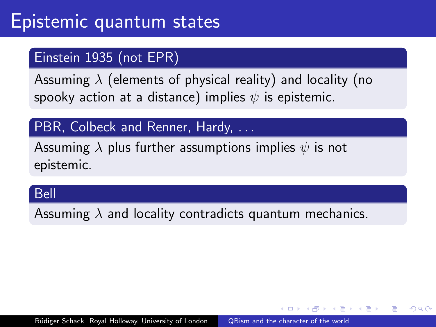## Einstein 1935 (not EPR)

Assuming  $\lambda$  (elements of physical reality) and locality (no spooky action at a distance) implies  $\psi$  is epistemic.

## PBR, Colbeck and Renner, Hardy, ...

Assuming  $\lambda$  plus further assumptions implies  $\psi$  is not epistemic.

#### Bell

Assuming  $\lambda$  and locality contradicts quantum mechanics.

AD > ( E > ( E > )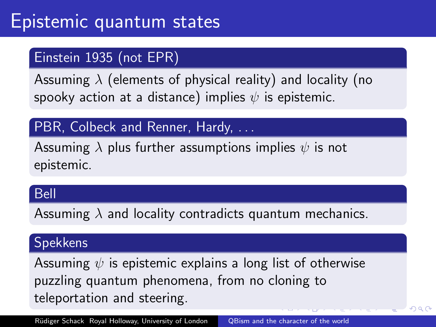## Einstein 1935 (not EPR)

Assuming  $\lambda$  (elements of physical reality) and locality (no spooky action at a distance) implies  $\psi$  is epistemic.

## PBR, Colbeck and Renner, Hardy, ...

Assuming  $\lambda$  plus further assumptions implies  $\psi$  is not epistemic.

#### Bell

Assuming  $\lambda$  and locality contradicts quantum mechanics.

## Spekkens

Assuming  $\psi$  is epistemic explains a long list of otherwise puzzling quantum phenomena, from no cloning to teleportation and steering.

 $QQ$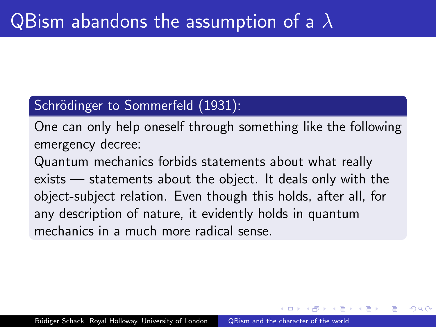## Schrödinger to Sommerfeld (1931):

One can only help oneself through something like the following emergency decree:

Quantum mechanics forbids statements about what really exists — statements about the object. It deals only with the object-subject relation. Even though this holds, after all, for any description of nature, it evidently holds in quantum mechanics in a much more radical sense.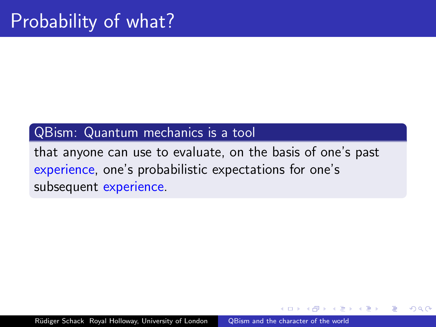#### QBism: Quantum mechanics is a tool

that anyone can use to evaluate, on the basis of one's past experience, one's probabilistic expectations for one's subsequent experience.

 $\Omega$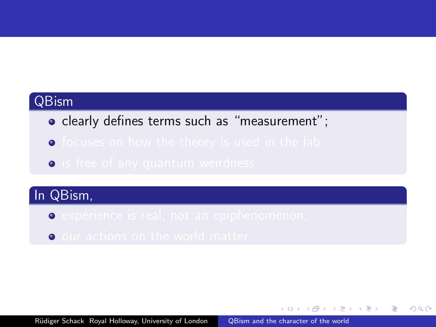#### QBism

- clearly defines terms such as "measurement";
- $\bullet$
- **o** is free of any quantum weirdness.

## In QBism,

- $\bullet$
- **O** our actions on the world matter.

メタメメ ミメメ きょう

重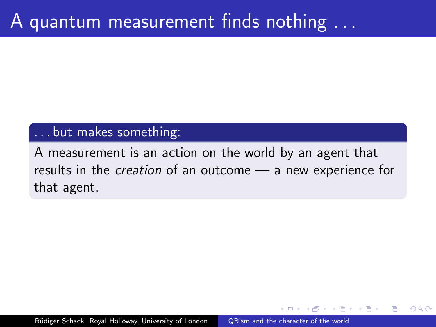#### . . . but makes something:

A measurement is an action on the world by an agent that results in the creation of an outcome — a new experience for that agent.

ഹൈ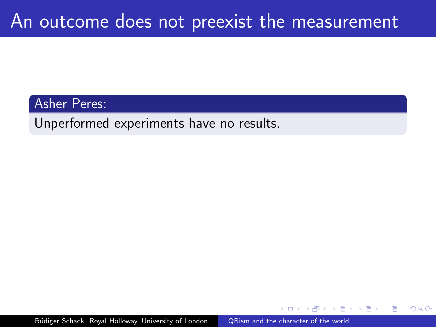Asher Peres:

Unperformed experiments have no results.

Rüdiger Schack Royal Holloway, University of London [QBism and the character of the world](#page-0-0)

つくい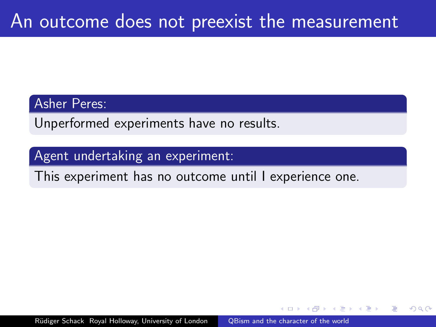#### Asher Peres:

Unperformed experiments have no results.

#### Agent undertaking an experiment:

This experiment has no outcome until I experience one.

 $\Omega$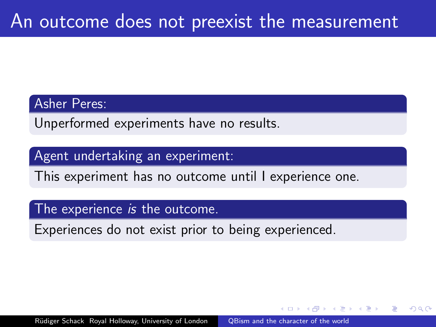#### Asher Peres:

Unperformed experiments have no results.

#### Agent undertaking an experiment:

This experiment has no outcome until I experience one.

#### The experience *is* the outcome.

Experiences do not exist prior to being experienced.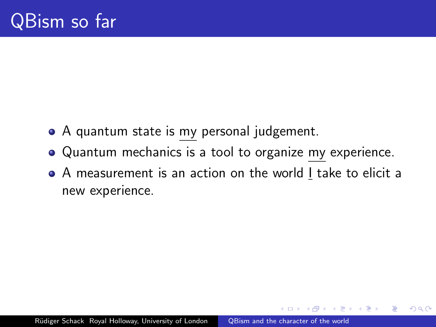- A quantum state is my personal judgement.
- Quantum mechanics is a tool to organize my experience.
- A measurement is an action on the world I take to elicit a new experience.

つくい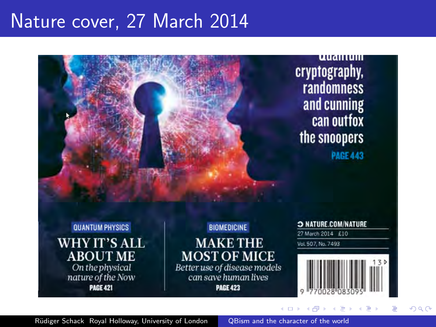## Nature cover, 27 March 2014



Rüdiger Schack Royal Holloway, University of London [QBism and the character of the world](#page-0-0)

 $QQ$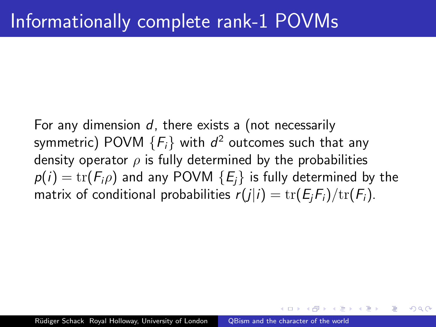For any dimension  $d$ , there exists a (not necessarily symmetric) <code>POVM</code>  $\{F_i\}$  with  $d^2$  outcomes such that any density operator  $\rho$  is fully determined by the probabilities  $p(i) = \text{tr}(F_i \rho)$  and any POVM  $\{E_i\}$  is fully determined by the matrix of conditional probabilities  $r(j|i) = \text{tr}(E_iF_i)/\text{tr}(F_i)$ .

ഹൈ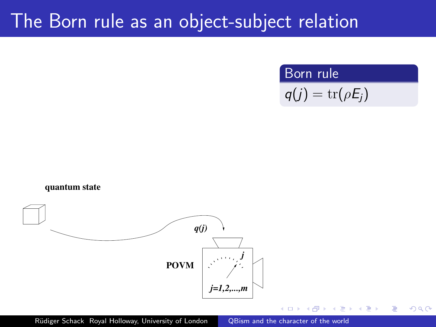## The Born rule as an object-subject relation

Born rule

$$
q(j) = \mathrm{tr}(\rho E_j)
$$

 $QQ$ 



Rüdiger Schack Royal Holloway, University of London [QBism and the character of the world](#page-0-0)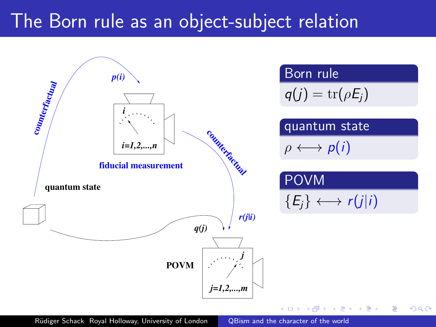## The Born rule as an object-subject relation

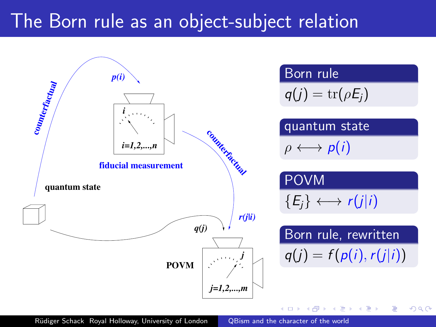### The Born rule as an object-subject relation

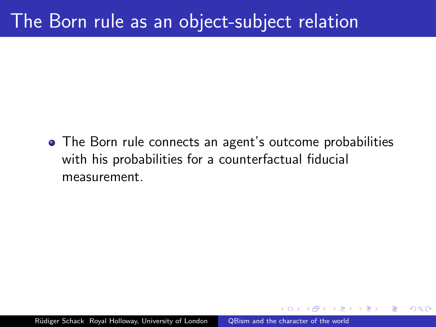### The Born rule as an object-subject relation

• The Born rule connects an agent's outcome probabilities with his probabilities for a counterfactual fiducial measurement.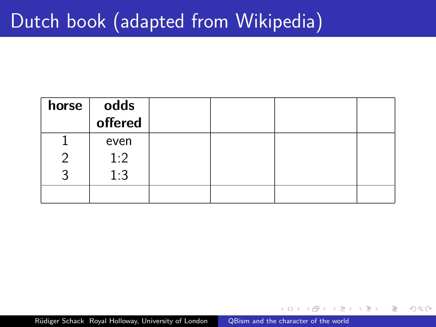| horse | odds    |  |  |
|-------|---------|--|--|
|       | offered |  |  |
|       | even    |  |  |
|       | 1:2     |  |  |
|       | 1:3     |  |  |
|       |         |  |  |

 $QQ$ 

∍

重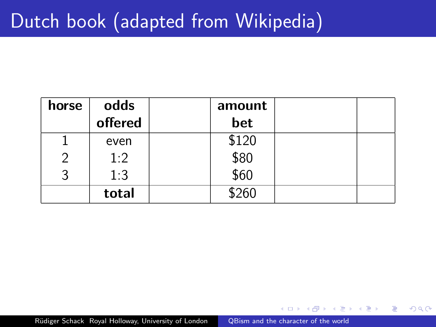| horse | odds    | amount         |  |
|-------|---------|----------------|--|
|       | offered | bet            |  |
|       | even    | \$120          |  |
|       | 1:2     | $$80$<br>$$60$ |  |
|       | 1:3     |                |  |
|       | total   | \$260          |  |

 $QQ$ 

∍ 一心語 **In** ∍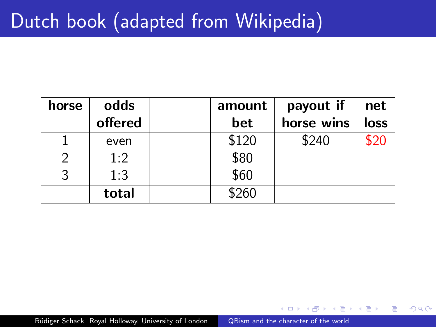| horse         | odds    | amount | payout if  | net  |
|---------------|---------|--------|------------|------|
|               | offered | bet    | horse wins | loss |
|               | even    | \$120  | \$240      | \$20 |
| $\mathcal{P}$ | 1:2     | \$80   |            |      |
|               | 1:3     | \$60   |            |      |
|               | total   | \$260  |            |      |

 $QQ$ 

∍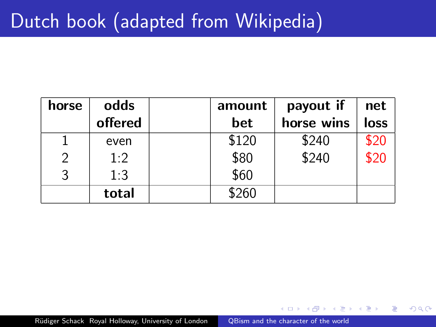| horse         | odds    | amount | payout if  | net         |
|---------------|---------|--------|------------|-------------|
|               | offered | bet    | horse wins | <b>loss</b> |
|               | even    | \$120  | \$240      | \$20        |
| $\mathcal{P}$ | 1:2     | \$80   | \$240      | \$20        |
|               | 1:3     | \$60   |            |             |
|               | total   | \$260  |            |             |

 $QQ$ 

∍

4.重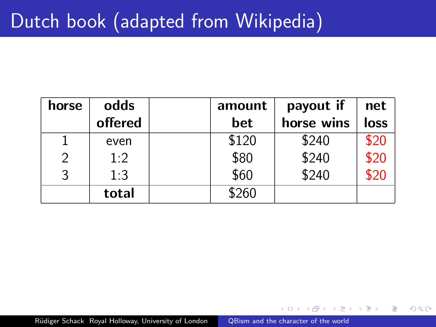| horse         | odds    | amount | payout if  | net         |
|---------------|---------|--------|------------|-------------|
|               | offered | bet    | horse wins | <b>loss</b> |
|               | even    | \$120  | \$240      | \$20        |
| $\mathcal{P}$ | 1:2     | \$80   | \$240      | \$20        |
| 3             | 1:3     | \$60   | \$240      | \$20        |
|               | total   | \$260  |            |             |

 $QQ$ 

∍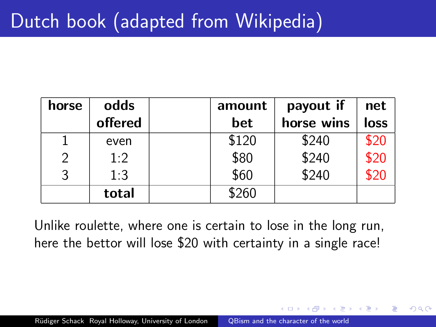| horse         | odds    | amount | payout if  | net         |
|---------------|---------|--------|------------|-------------|
|               | offered | bet    | horse wins | <b>loss</b> |
|               | even    | \$120  | \$240      | \$20        |
| $\mathcal{P}$ | 1:2     | \$80   | \$240      | \$20        |
| 3             | 1:3     | \$60   | \$240      | \$20        |
|               | total   | \$260  |            |             |

Unlike roulette, where one is certain to lose in the long run, here the bettor will lose \$20 with certainty in a single race!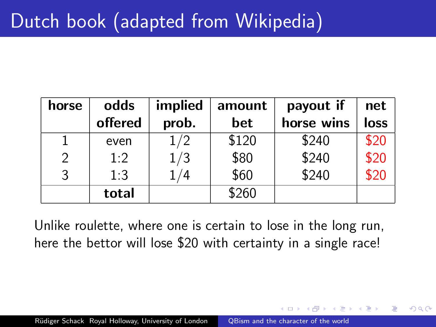| horse | odds    | implied | amount | payout if  | net         |
|-------|---------|---------|--------|------------|-------------|
|       | offered | prob.   | bet    | horse wins | <b>loss</b> |
|       | even    | 1/2     | \$120  | \$240      | \$20        |
| 2     | 1:2     | 1/3     | \$80   | \$240      | \$20        |
| 3     | 1:3     | /4      | \$60   | \$240      | \$20        |
|       | total   |         | \$260  |            |             |

Unlike roulette, where one is certain to lose in the long run, here the bettor will lose \$20 with certainty in a single race!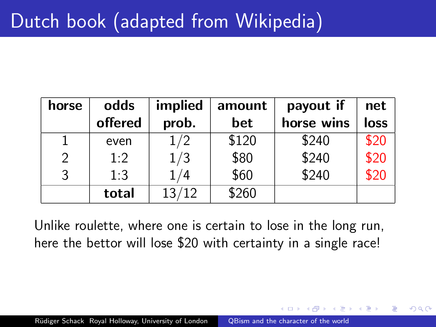| horse         | odds    | implied | amount | payout if  | net  |
|---------------|---------|---------|--------|------------|------|
|               | offered | prob.   | bet    | horse wins | loss |
| 1             | even    | 1/2     | \$120  | \$240      | \$20 |
| $\mathcal{P}$ | 1:2     | 1/3     | \$80   | \$240      | \$20 |
| 3             | 1:3     | 1/4     | \$60   | \$240      | \$20 |
|               | total   | 13/12   | \$260  |            |      |

Unlike roulette, where one is certain to lose in the long run, here the bettor will lose \$20 with certainty in a single race!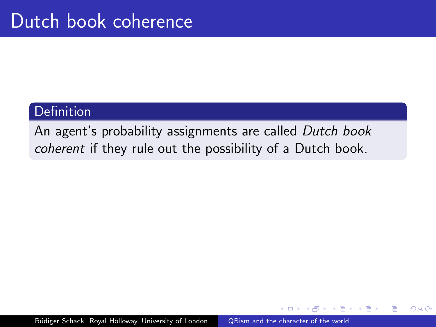#### **Definition**

An agent's probability assignments are called Dutch book coherent if they rule out the possibility of a Dutch book.

つくい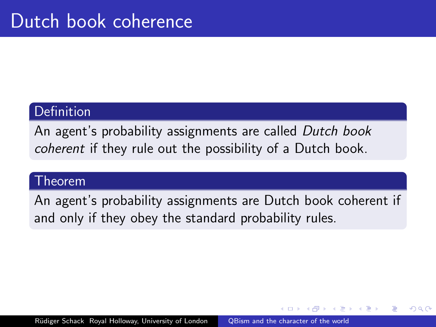#### **Definition**

An agent's probability assignments are called Dutch book coherent if they rule out the possibility of a Dutch book.

#### Theorem

An agent's probability assignments are Dutch book coherent if and only if they obey the standard probability rules.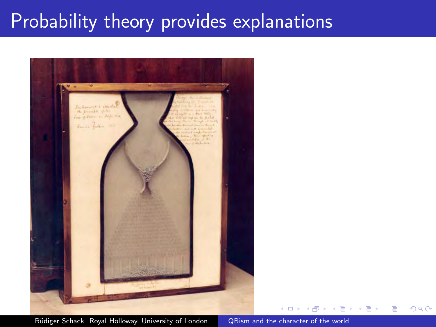# Probability theory provides explanations



Rüdiger Schack Royal Holloway, University of London [QBism and the character of the world](#page-0-0)

つくへ

∍  $\sim$ ∍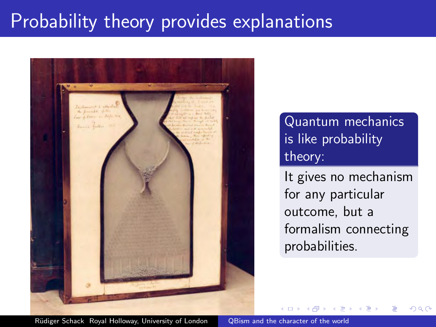### Probability theory provides explanations



Quantum mechanics is like probability theory:

It gives no mechanism for any particular outcome, but a formalism connecting probabilities.

つくへ

Rüdiger Schack Royal Holloway, University of London [QBism and the character of the world](#page-0-0)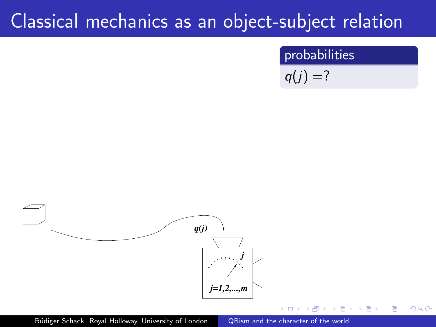# Classical mechanics as an object-subject relation

#### probabilities

 $QQ$ 

$$
q(j)=?
$$



Rüdiger Schack Royal Holloway, University of London [QBism and the character of the world](#page-0-0)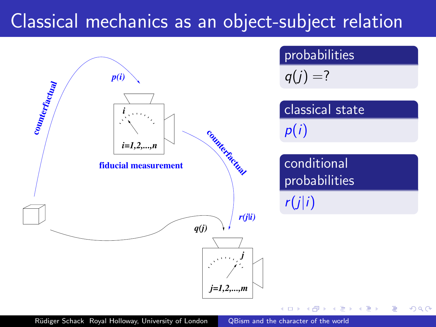## Classical mechanics as an object-subject relation

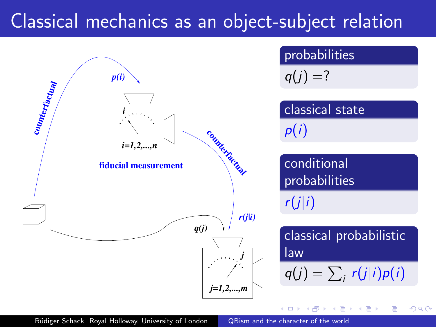## Classical mechanics as an object-subject relation

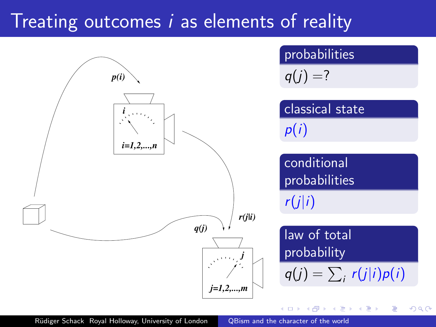## Treating outcomes i as elements of reality

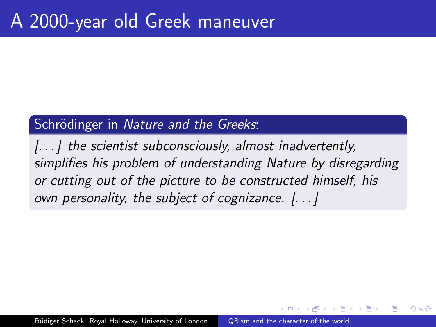### Schrödinger in Nature and the Greeks:

[...] the scientist subconsciously, almost inadvertently, simplifies his problem of understanding Nature by disregarding or cutting out of the picture to be constructed himself, his own personality, the subject of cognizance. [. . . ]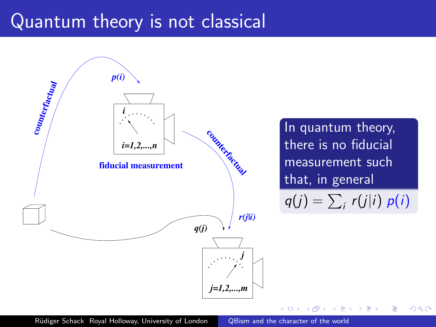# Quantum theory is not classical

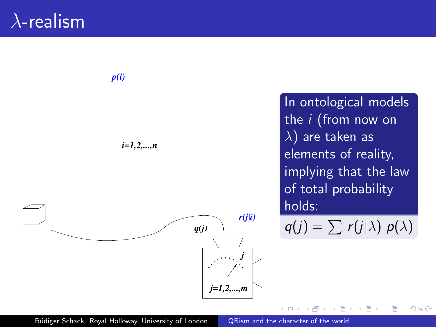## $\lambda$ -realism



In ontological models the i (from now on  $\lambda$ ) are taken as elements of reality, implying that the law of total probability holds:

 $q(j) = \sum r(j|\lambda) p(\lambda)$ 

 $200$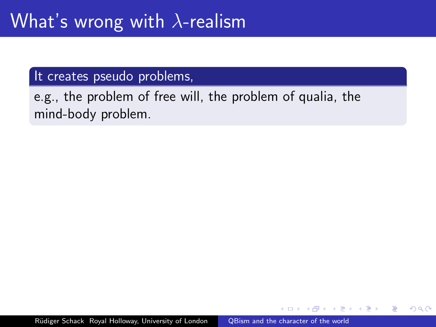#### It creates pseudo problems,

e.g., the problem of free will, the problem of qualia, the mind-body problem.

つくい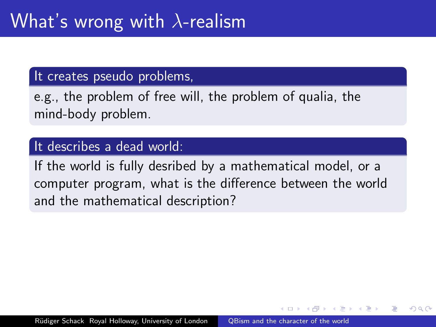#### It creates pseudo problems,

e.g., the problem of free will, the problem of qualia, the mind-body problem.

### It describes a dead world:

If the world is fully desribed by a mathematical model, or a computer program, what is the difference between the world and the mathematical description?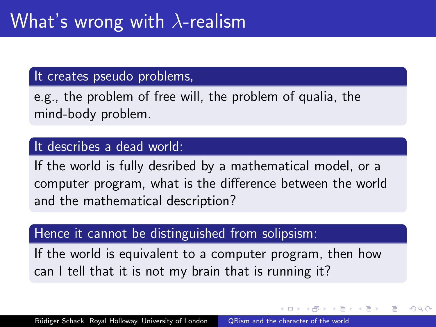#### It creates pseudo problems,

e.g., the problem of free will, the problem of qualia, the mind-body problem.

### It describes a dead world:

If the world is fully desribed by a mathematical model, or a computer program, what is the difference between the world and the mathematical description?

#### Hence it cannot be distinguished from solipsism:

If the world is equivalent to a computer program, then how can I tell that it is not my brain that is running it?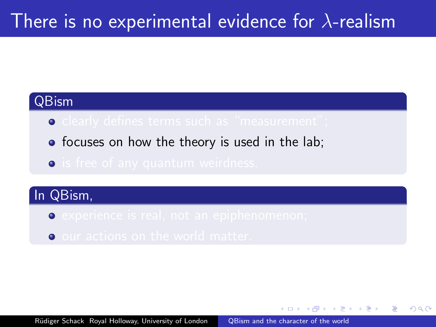### There is no experimental evidence for  $\lambda$ -realism

### QBism

- $\bullet$  clearly defines terms such as "measurement"
- focuses on how the theory is used in the lab;
- $\bullet$

### In QBism,

- **Experience is real, not an epiphenomenon;**
- o our actions on the world matter.

 $\langle \bigcap \mathbb{P} \rangle$   $\rightarrow$   $\langle \bigcap \mathbb{P} \rangle$   $\rightarrow$   $\langle \bigcap \mathbb{P} \rangle$ 

 $200$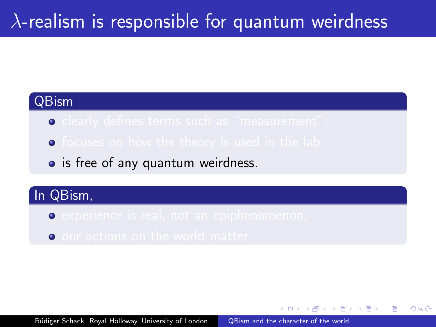### $\lambda$ -realism is responsible for quantum weirdness

### QBism

- $\bullet$
- $\bullet$
- is free of any quantum weirdness.

### In QBism,

- $\bullet$
- **O** our actions on the world matter.

同 ▶ ( 三 ) ( 三 ) 。

 $200$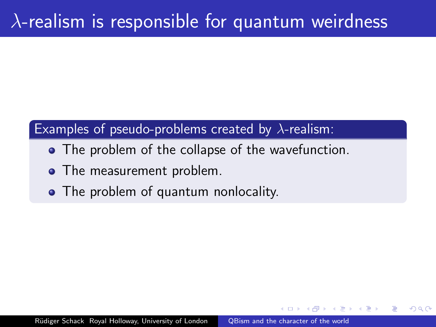### $\lambda$ -realism is responsible for quantum weirdness

### Examples of pseudo-problems created by  $\lambda$ -realism:

- The problem of the collapse of the wavefunction.
- The measurement problem.
- The problem of quantum nonlocality.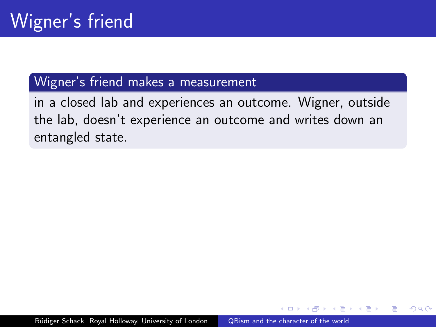### Wigner's friend makes a measurement

in a closed lab and experiences an outcome. Wigner, outside the lab, doesn't experience an outcome and writes down an entangled state.

つくい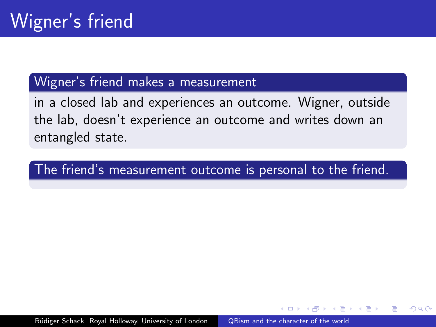### Wigner's friend makes a measurement

in a closed lab and experiences an outcome. Wigner, outside the lab, doesn't experience an outcome and writes down an entangled state.

The friend's measurement outcome is personal to the friend.

Rüdiger Schack Royal Holloway, University of London [QBism and the character of the world](#page-0-0)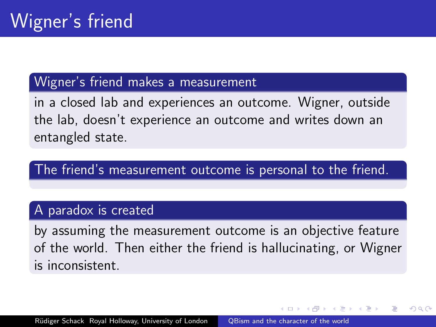### Wigner's friend makes a measurement

in a closed lab and experiences an outcome. Wigner, outside the lab, doesn't experience an outcome and writes down an entangled state.

The friend's measurement outcome is personal to the friend.

#### A paradox is created

by assuming the measurement outcome is an objective feature of the world. Then either the friend is hallucinating, or Wigner is inconsistent.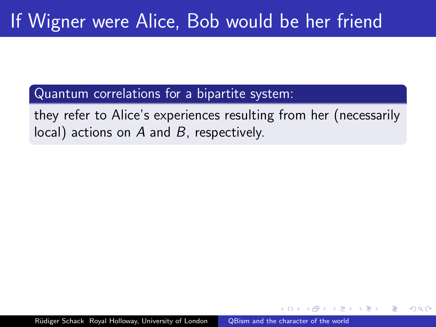Quantum correlations for a bipartite system:

they refer to Alice's experiences resulting from her (necessarily  $local)$  actions on A and B, respectively.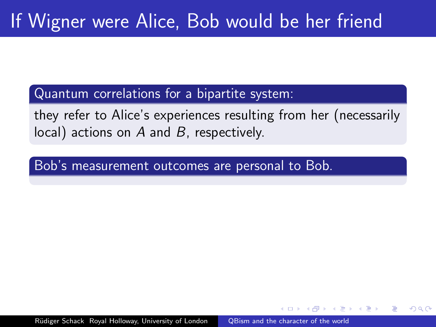Quantum correlations for a bipartite system:

they refer to Alice's experiences resulting from her (necessarily local) actions on  $A$  and  $B$ , respectively.

Bob's measurement outcomes are personal to Bob.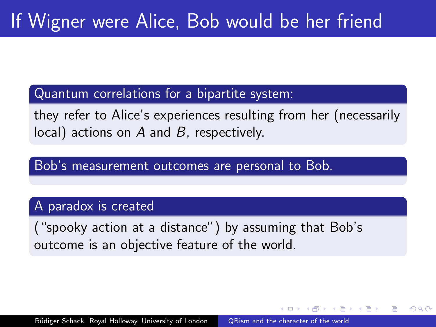Quantum correlations for a bipartite system:

they refer to Alice's experiences resulting from her (necessarily local) actions on  $A$  and  $B$ , respectively.

Bob's measurement outcomes are personal to Bob.

#### A paradox is created

("spooky action at a distance") by assuming that Bob's outcome is an objective feature of the world.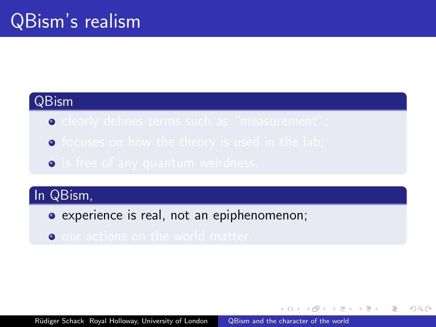### QBism

- $\bullet$
- $\bullet$
- $\bullet$

### In QBism,

- experience is real, not an epiphenomenon;
- $\bullet$

同 ▶ ヨ ヨ ▶ ヨ ヨ ▶

 $200$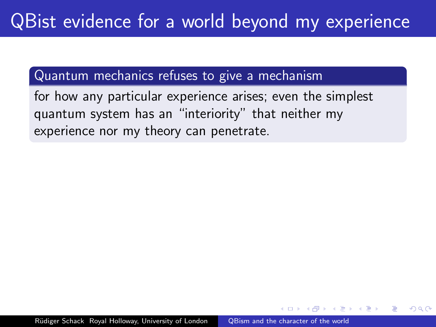### Quantum mechanics refuses to give a mechanism

for how any particular experience arises; even the simplest quantum system has an "interiority" that neither my experience nor my theory can penetrate.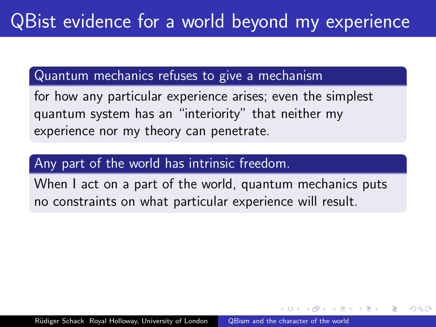### Quantum mechanics refuses to give a mechanism

for how any particular experience arises; even the simplest quantum system has an "interiority" that neither my experience nor my theory can penetrate.

### Any part of the world has intrinsic freedom.

When I act on a part of the world, quantum mechanics puts no constraints on what particular experience will result.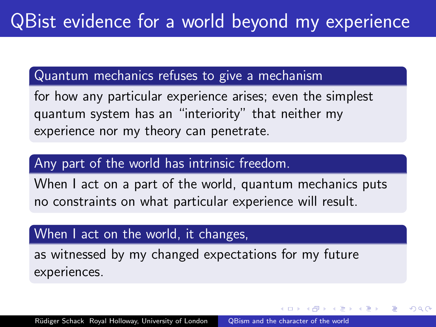#### Quantum mechanics refuses to give a mechanism

for how any particular experience arises; even the simplest quantum system has an "interiority" that neither my experience nor my theory can penetrate.

#### Any part of the world has intrinsic freedom.

When I act on a part of the world, quantum mechanics puts no constraints on what particular experience will result.

#### When I act on the world, it changes,

as witnessed by my changed expectations for my future experiences.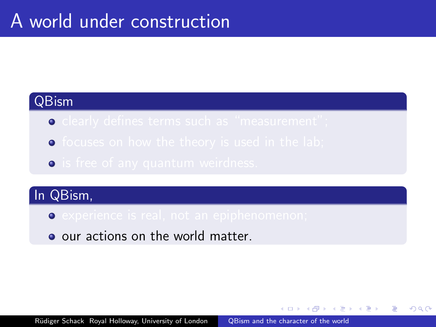#### QBism

- $\bullet$
- $\bullet$
- $\bullet$

## In QBism,

- **•** experience is real, not an epiphenomenon;
- o our actions on the world matter.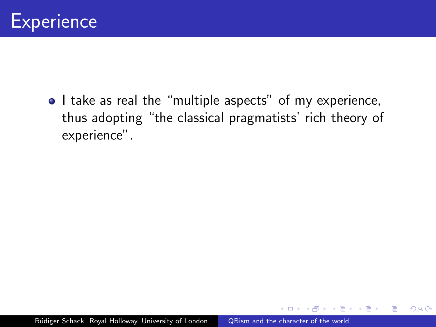

• I take as real the "multiple aspects" of my experience, thus adopting "the classical pragmatists' rich theory of experience".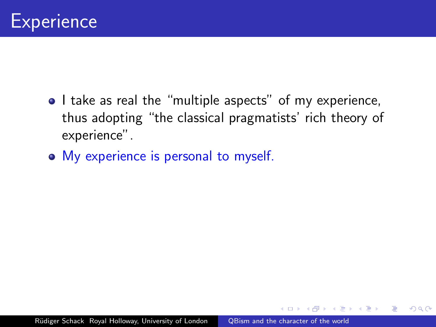

- I take as real the "multiple aspects" of my experience, thus adopting "the classical pragmatists' rich theory of experience".
- My experience is personal to myself.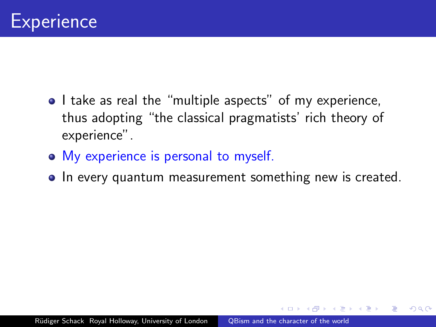

- I take as real the "multiple aspects" of my experience, thus adopting "the classical pragmatists' rich theory of experience".
- My experience is personal to myself.
- In every quantum measurement something new is created.

 $\Omega$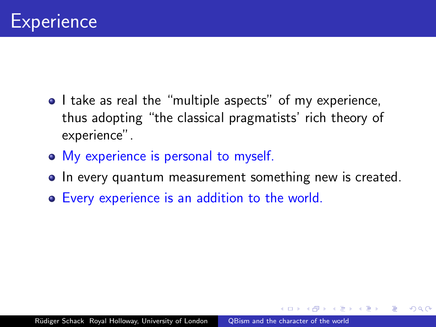

- I take as real the "multiple aspects" of my experience, thus adopting "the classical pragmatists' rich theory of experience".
- My experience is personal to myself.
- In every quantum measurement something new is created.

 $\Omega$ 

Every experience is an addition to the world.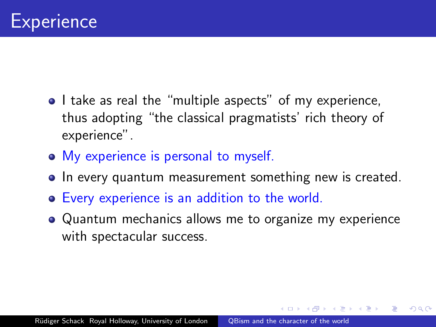

- I take as real the "multiple aspects" of my experience, thus adopting "the classical pragmatists' rich theory of experience".
- My experience is personal to myself.
- In every quantum measurement something new is created.
- Every experience is an addition to the world.
- Quantum mechanics allows me to organize my experience with spectacular success.

ഹൈ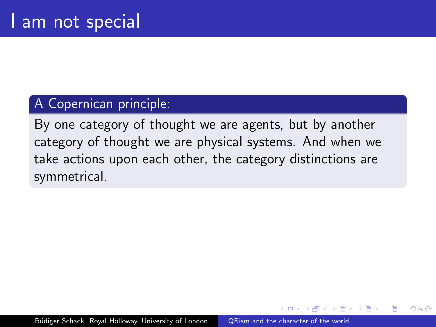#### A Copernican principle:

By one category of thought we are agents, but by another category of thought we are physical systems. And when we take actions upon each other, the category distinctions are symmetrical.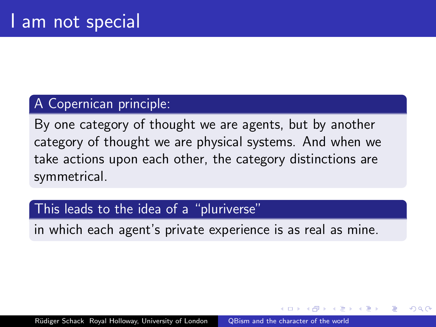#### A Copernican principle:

By one category of thought we are agents, but by another category of thought we are physical systems. And when we take actions upon each other, the category distinctions are symmetrical.

#### This leads to the idea of a "pluriverse"

in which each agent's private experience is as real as mine.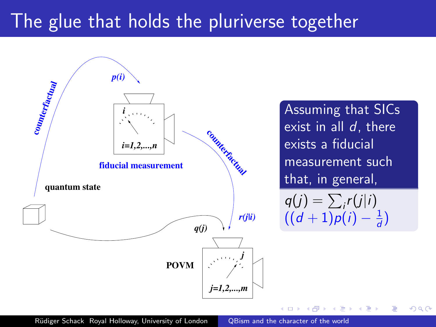# The glue that holds the pluriverse together



Assuming that SICs exist in all  $d$ , there exists a fiducial measurement such that, in general,  $q(j) = \sum_i r(j|i)$  $((d+1)p(i) - \frac{1}{d})$ 

 $\frac{1}{d}$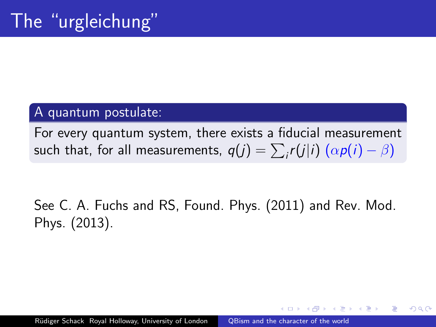#### A quantum postulate:

For every quantum system, there exists a fiducial measurement such that, for all measurements,  $q(j) = \sum_i r(j|i) ( \alpha p(i) - \beta)$ 

See C. A. Fuchs and RS, Found. Phys. (2011) and Rev. Mod. Phys. (2013).

 $\Omega$